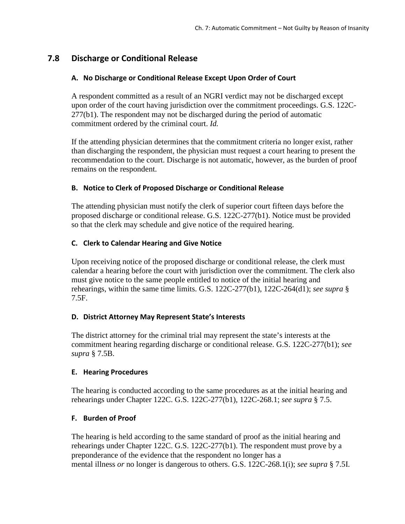# **7.8 Discharge or Conditional Release**

# **A. No Discharge or Conditional Release Except Upon Order of Court**

A respondent committed as a result of an NGRI verdict may not be discharged except upon order of the court having jurisdiction over the commitment proceedings. G.S. 122C-277(b1). The respondent may not be discharged during the period of automatic commitment ordered by the criminal court. *Id.*

If the attending physician determines that the commitment criteria no longer exist, rather than discharging the respondent, the physician must request a court hearing to present the recommendation to the court. Discharge is not automatic, however, as the burden of proof remains on the respondent.

# **B. Notice to Clerk of Proposed Discharge or Conditional Release**

The attending physician must notify the clerk of superior court fifteen days before the proposed discharge or conditional release. G.S. 122C-277(b1). Notice must be provided so that the clerk may schedule and give notice of the required hearing.

# **C. Clerk to Calendar Hearing and Give Notice**

Upon receiving notice of the proposed discharge or conditional release, the clerk must calendar a hearing before the court with jurisdiction over the commitment. The clerk also must give notice to the same people entitled to notice of the initial hearing and rehearings, within the same time limits. G.S. 122C-277(b1), 122C-264(d1); *see supra* § 7.5F.

# **D. District Attorney May Represent State's Interests**

The district attorney for the criminal trial may represent the state's interests at the commitment hearing regarding discharge or conditional release. G.S. 122C-277(b1); *see supra* § 7.5B.

### **E. Hearing Procedures**

The hearing is conducted according to the same procedures as at the initial hearing and rehearings under Chapter 122C. G.S. 122C-277(b1), 122C-268.1; *see supra* § 7.5.

### **F. Burden of Proof**

The hearing is held according to the same standard of proof as the initial hearing and rehearings under Chapter 122C. G.S. 122C-277(b1). The respondent must prove by a preponderance of the evidence that the respondent no longer has a mental illness *or* no longer is dangerous to others. G.S. 122C-268.1(i); *see supra* § 7.5I.